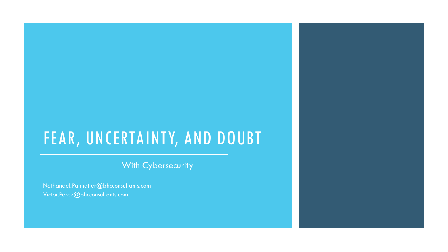### FEAR, UNCERTAINTY, AND DOUBT

With Cybersecurity

Nathanael.Palmatier@bhcconsultants.com Victor.Perez@bhcconsultants.com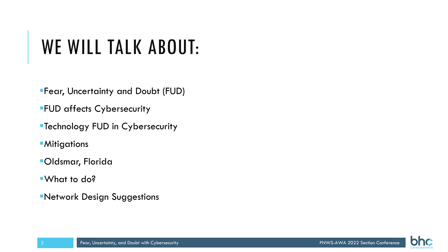# WE WILL TALK ABOUT:

Fear, Uncertainty and Doubt (FUD)

**FUD affects Cybersecurity** 

Technology FUD in Cybersecurity

**Mitigations** 

Oldsmar, Florida

What to do?

Network Design Suggestions

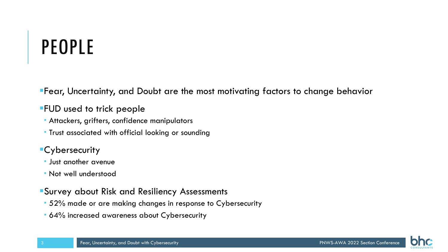# PEOPLE

Fear, Uncertainty, and Doubt are the most motivating factors to change behavior

### **FUD used to trick people**

- Attackers, grifters, confidence manipulators
- **Trust associated with official looking or sounding**

### **Cybersecurity**

- Just another avenue
- Not well understood
- Survey about Risk and Resiliency Assessments
- 52% made or are making changes in response to Cybersecurity
- 64% increased awareness about Cybersecurity

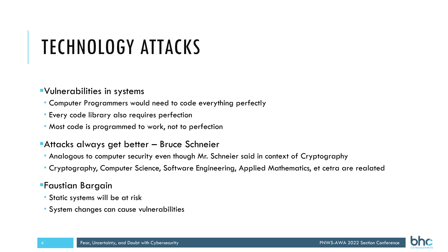# TECHNOLOGY ATTACKS

#### Vulnerabilities in systems

- Computer Programmers would need to code everything perfectly
- Every code library also requires perfection
- Most code is programmed to work, not to perfection

#### **Attacks always get better – Bruce Schneier**

- Analogous to computer security even though Mr. Schneier said in context of Cryptography
- Cryptography, Computer Science, Software Engineering, Applied Mathematics, et cetra are realated

### Faustian Bargain

- Static systems will be at risk
- System changes can cause vulnerabilities

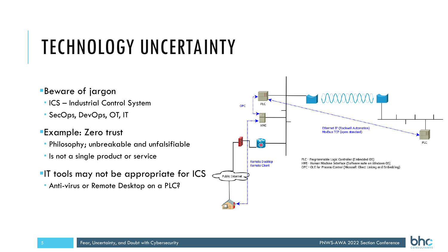# TECHNOLOGY UNCERTAINTY

- Beware of jargon
- ICS Industrial Control System
- SecOps, DevOps, OT, IT
- **Example: Zero trust** 
	- Philosophy; unbreakable and unfalsifiable
	- **If** Is not a single product or service
- **IT tools may not be appropriate for ICS** 
	- Anti-virus or Remote Desktop on a PLC?



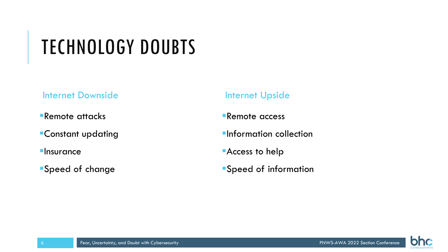## TECHNOLOGY DOUBTS

#### Internet Downside

- Remote attacks
- Constant updating
- **Insurance**
- Speed of change

### Internet Upside

- **Remote access**
- **Information collection**
- Access to help
- Speed of information

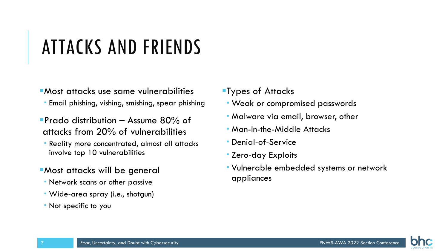# ATTACKS AND FRIENDS

- Most attacks use same vulnerabilities
- Email phishing, vishing, smishing, spear phishing
- **Prado distribution Assume 80% of** attacks from 20% of vulnerabilities
	- Reality more concentrated, almost all attacks involve top 10 vulnerabilities
- **Most attacks will be general**
- Network scans or other passive
- Wide-area spray (i.e., shotgun)
- Not specific to you
- Types of Attacks
- Weak or compromised passwords
- Malware via email, browser, other
- Man-in-the-Middle Attacks
- Denial-of-Service
- Zero-day Exploits
- Vulnerable embedded systems or network appliances

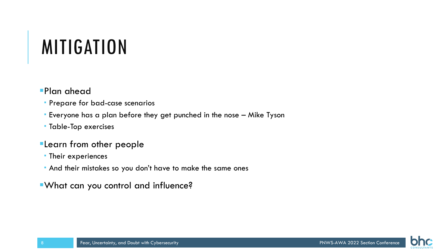## MITIGATION

- Plan ahead
	- Prepare for bad-case scenarios
- Everyone has a plan before they get punched in the nose Mike Tyson
- Table-Top exercises
- **Elearn from other people**
- **Their experiences**
- And their mistakes so you don't have to make the same ones
- What can you control and influence?

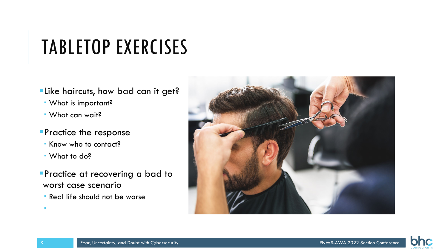## TABLETOP EXERCISES

- **Elike haircuts, how bad can it get?**
- What is important?
- What can wait?

#### Practice the response

- Know who to contact?
- What to do?
- **Practice at recovering a bad to** worst case scenario
- **Real life should not be worse**





i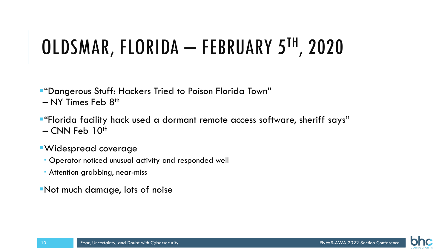# OLDSMAR, FLORIDA – FEBRUARY 5TH, 2020

"Dangerous Stuff: Hackers Tried to Poison Florida Town"  $-$  NY Times Feb  $8<sup>th</sup>$ 

"Florida facility hack used a dormant remote access software, sheriff says"  $-$  CNN Feb 10<sup>th</sup>

### Widespread coverage

- Operator noticed unusual activity and responded well
- **Attention grabbing, near-miss**

Not much damage, lots of noise

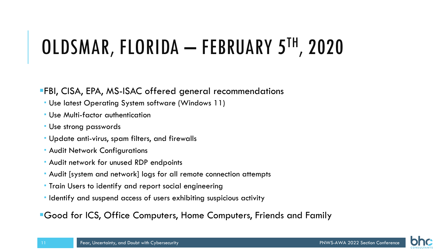# OLDSMAR, FLORIDA – FEBRUARY 5TH, 2020

### FBI, CISA, EPA, MS-ISAC offered general recommendations

- Use latest Operating System software (Windows 11)
- Use Multi-factor authentication
- Use strong passwords
- Update anti-virus, spam filters, and firewalls
- **Audit Network Configurations**
- Audit network for unused RDP endpoints
- Audit [system and network] logs for all remote connection attempts
- **Train Users to identify and report social engineering**
- Identify and suspend access of users exhibiting suspicious activity

Good for ICS, Office Computers, Home Computers, Friends and Family

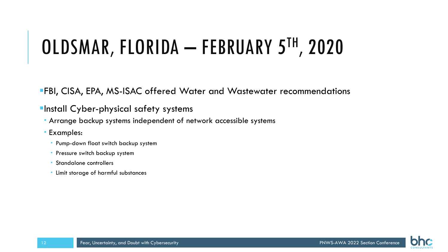# OLDSMAR, FLORIDA – FEBRUARY 5TH, 2020

FBI, CISA, EPA, MS-ISAC offered Water and Wastewater recommendations

### **Install Cyber-physical safety systems**

- Arrange backup systems independent of network accessible systems
- Examples:
	- **Pump-down float switch backup system**
	- **Pressure switch backup system**
	- Standalone controllers
	- Limit storage of harmful substances

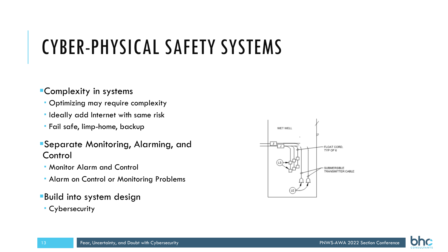# CYBER-PHYSICAL SAFETY SYSTEMS

### Complexity in systems

- Optimizing may require complexity
- **Indeally add Internet with same risk**
- Fail safe, limp-home, backup
- Separate Monitoring, Alarming, and **Control**
- Monitor Alarm and Control
- Alarm on Control or Monitoring Problems
- **Build into system design**
- Cybersecurity

13



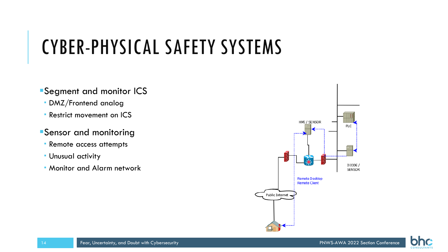# CYBER-PHYSICAL SAFETY SYSTEMS

- Segment and monitor ICS
- DMZ/Frontend analog
- **Restrict movement on ICS**
- Sensor and monitoring
- Remote access attempts
- Unusual activity
- Monitor and Alarm network



**CONSULTA** 

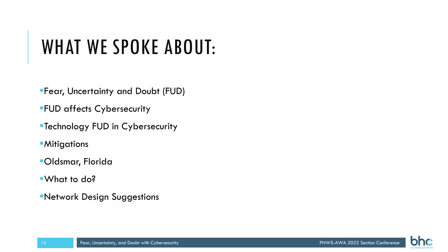## WHAT WE SPOKE ABOUT:

Fear, Uncertainty and Doubt (FUD)

**FUD affects Cybersecurity** 

Technology FUD in Cybersecurity

**Mitigations** 

Oldsmar, Florida

What to do?

Network Design Suggestions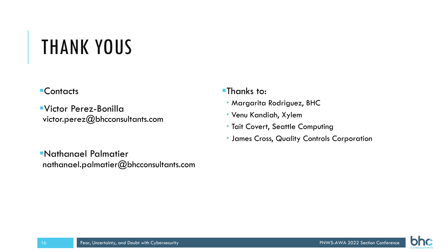## THANK YOUS

### **Contacts**

Victor Perez-Bonilla victor.perez@bhcconsultants.com

- **Thanks to:**
- Margarita Rodriguez, BHC
- Venu Kandiah, Xylem
- **Tait Covert, Seattle Computing**
- **James Cross, Quality Controls Corporation**

Nathanael Palmatier nathanael.palmatier@bhcconsultants.com